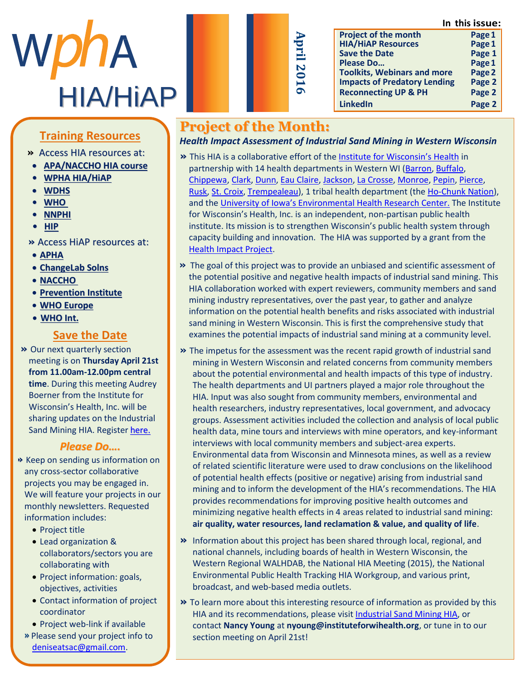**In this issue:**



| Ap                         |  |
|----------------------------|--|
| 5<br>Ξ<br>N<br>0           |  |
| $\blacktriangleright$<br>െ |  |
|                            |  |

|                                     | инэ нээмс |
|-------------------------------------|-----------|
| <b>Project of the month</b>         | Page 1    |
| <b>HIA/HIAP Resources</b>           | Page 1    |
| <b>Save the Date</b>                | Page 1    |
| Please Do                           | Page 1    |
| <b>Toolkits, Webinars and more</b>  | Page 2    |
| <b>Impacts of Predatory Lending</b> | Page 2    |
| <b>Reconnecting UP &amp; PH</b>     | Page 2    |
| <b>LinkedIn</b>                     | Page 2    |
|                                     |           |

# **Training Resources**

- **This nesource »** Access HIA resources at:
- [Abby Jackson](http://advance.captus.com/planning/hia2/home.aspx) **APA/NACCHO HIA course**
- » M [s A b b y J a c k s o](http://www.wpha.org/?page=hia_library) n h a s **• WPHA HIA/HiAP**
	- $\bullet$  **[WDHS](https://www.dhs.wisconsin.gov/hia/webcasts.htm)**
	- m e m b e r o f t h e W P H A **• [WHO](http://www.who.int/hia/tools/en/)**
	- H I A s e c t i o n l e a d e r s h i p **• [NNPHI](https://nnphi.org/relatedarticle/nnphis-member-institutes-as-national-health-impact-assessment-hia-training-and-capacity-building-centers/)**
	- **• HIP •** *•* **HIP** *• • • • • • • • •*
- **»** Access HiAP resources at:
- **APHA**
- $\frac{10.0001}{2}$  a Changel ah So **e ChangeLab Solns**<br> **c NACCHO**
- **NACCHO**
- $\frac{m \times m}{n}$  is the set **• Prevention Institute**
- **WHO Europe**
- **•** <u>WHO Int.</u>

#### **Save the Date** <u>Save the Date</u>

**»** Our next quarterly section meeting is on **Thursday April 21st** from 11.00am-12.00pm central **time**. During this meeting Audrey Boerner from the Institute for Wisconsin's Health, Inc. will be sharing updates on the Industrial Sand Mining HIA. Register <u>[here.](http://www.wpha.org/events/EventDetails.aspx?id=767722&group=)</u>

## *Please Do....*

- H e a l t h a t t h e D e p t . o f **»** Keep on sending us information on he e b in senang as information on any cross sector conaborative<br>projects you may be engaged in. projects you may be engaged in:<br>We will feature your projects in our U will reature your projects in ot monthly newsletters. Requested<br>information includes: information includes:<br>
e Preject title
	- $\bullet$  Project title • Project title
	- Lead organization & collaborators/sectors you are collaborating with
	- $\bullet$  Project information: goals, objectives, activities
	- $\bullet$  Contact information of project coordinator e a v o r s . G o r s . G o r s . G o r s . G o r s . G o r s . G o r s . G o r s . G o r s . G o
	- $\bullet$  Project web-link if available
	- **»** Please send your project info to [deniseatsac@gmail.com.](mailto:deniseatsac@gmail.com)

# **Project of the Month:**

*Health Impact Assessment of Industrial Sand Mining in Western Wisconsin*

- **»** This HIA is a collaborative effort of the [Institute for Wisconsin's Health](http://www.instituteforwihealth.org/) in partnership with 14 health departments in Western WI [\(Barron,](http://www.barroncountywi.gov/index.asp?Type=B_BASIC&SEC=%7b67EE15EE-F336-42F6-9FF2-9B826944FF47%7d) [Buffalo,](http://www.buffalocounty.com/331/Public-Health) [Chippewa,](http://www.co.chippewa.wi.us/government/public-health) [Clark,](http://www.co.clark.wi.us/index.aspx?nid=269) [Dunn,](http://www.co.dunn.wi.us/index.asp?SEC=9832E95D-4B07-4F07-BEFE-2C9E88D8B5E3&Type=B_BASIC) [Eau Claire,](http://www.ci.eau-claire.wi.us/departments/health-department) [Jackson,](http://www.co.jackson.wi.us/index.asp?Type=B_BASIC&SEC=%7b20DC3C77-2232-4A62-AC97-A5D3BA8B0702%7d) [La Crosse,](http://www.co.la-crosse.wi.us/health/) [Monroe,](http://www.co.monroe.wi.us/departments/health-department/) [Pepin,](http://www.co.pepin.wi.us/) [Pierce,](http://www.co.pierce.wi.us/Public%20Health/Public_Health_Main.php) [Rusk,](http://www.ruskcounty.org/departments/health-and-human-services/) [St. Croix,](http://www.co.saint-croix.wi.us/index.asp?SEC=%7B118F50FA-9245-4426-AB26-D79A60F77D94%7D) [Trempealeau\)](http://www.tremplocounty.com/tchome/health/), 1 tribal health department (the [Ho-Chunk Nation\)](http://www.ho-chunknation.com/), and the [University of Iowa's Environmental Health Research Center](http://cph.uiowa.edu/ehsrc/). The Institute for Wisconsin's Health, Inc. is an independent, non-partisan public health institute. Its mission is to strengthen Wisconsin's public health system through capacity building and innovation. The HIA was supported by a grant from the [Health Impact Project.](http://www.pewtrusts.org/en/projects/health-impact-project)
- **»** The goal of this project was to provide an unbiased and scientific assessment of the potential positive and negative health impacts of industrial sand mining. This HIA collaboration worked with expert reviewers, community members and sand mining industry representatives, over the past year, to gather and analyze information on the potential health benefits and risks associated with industrial sand mining in Western Wisconsin. This is first the comprehensive study that examines the potential impacts of industrial sand mining at a community level.
- **»** The impetus for the assessment was the recent rapid growth of industrial sand mining in Western Wisconsin and related concerns from community members about the potential environmental and health impacts of this type of industry. The health departments and UI partners played a major role throughout the HIA. Input was also sought from community members, environmental and health researchers, industry representatives, local government, and advocacy groups. Assessment activities included the collection and analysis of local public health data, mine tours and interviews with mine operators, and key-informant interviews with local community members and subject-area experts. Environmental data from Wisconsin and Minnesota mines, as well as a review of related scientific literature were used to draw conclusions on the likelihood of potential health effects (positive or negative) arising from industrial sand mining and to inform the development of the HIA's recommendations. The HIA provides recommendations for improving positive health outcomes and minimizing negative health effects in 4 areas related to industrial sand mining: **air quality, water resources, land reclamation & value, and quality of life**.
- **»** Information about this project has been shared through local, regional, and national channels, including boards of health in Western Wisconsin, the Western Regional WALHDAB, the National HIA Meeting (2015), the National Environmental Public Health Tracking HIA Workgroup, and various print, broadcast, and web-based media outlets.
- **»** To learn more about this interesting resource of information as provided by this HIA and its recommendations, please visit [Industrial Sand](http://www.instituteforwihealth.org/hia.html) Mining HIA, or contact **Nancy Young** at **nyoung@instituteforwihealth.org**, or tune in to our section meeting on April 21st!